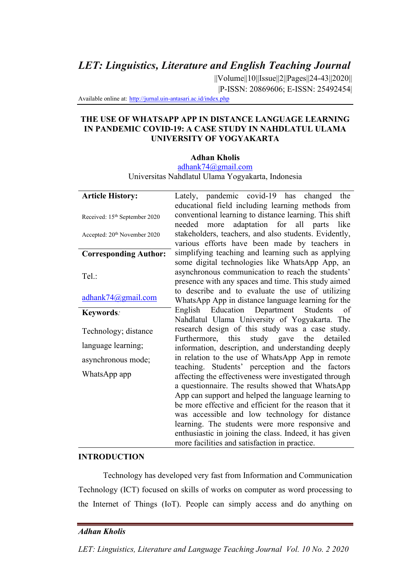*LET: Linguistics, Literature and English Teaching Journal*

||Volume||10||Issue||2||Pages||24-43||2020|| |P-ISSN: 20869606; E-ISSN: 25492454|

Available online at: http://jurnal.uin-antasari.ac.id/index.php

### **THE USE OF WHATSAPP APP IN DISTANCE LANGUAGE LEARNING IN PANDEMIC COVID-19: A CASE STUDY IN NAHDLATUL ULAMA UNIVERSITY OF YOGYAKARTA**

### **Adhan Kholis**

adhank74@gmail.com

Universitas Nahdlatul Ulama Yogyakarta, Indonesia

| <b>Article History:</b>                   | Lately, pandemic covid-19 has changed the                                                              |
|-------------------------------------------|--------------------------------------------------------------------------------------------------------|
|                                           | educational field including learning methods from                                                      |
| Received: 15 <sup>th</sup> September 2020 | conventional learning to distance learning. This shift                                                 |
|                                           | adaptation for all parts like<br>needed more                                                           |
| Accepted: 20 <sup>th</sup> November 2020  | stakeholders, teachers, and also students. Evidently,<br>various efforts have been made by teachers in |
| <b>Corresponding Author:</b>              | simplifying teaching and learning such as applying                                                     |
|                                           | some digital technologies like WhatsApp App, an                                                        |
| Tel.:                                     | asynchronous communication to reach the students'                                                      |
|                                           | presence with any spaces and time. This study aimed                                                    |
|                                           | to describe and to evaluate the use of utilizing                                                       |
| adhank74@gmail.com                        | WhatsApp App in distance language learning for the                                                     |
| Keywords:                                 | English Education Department Students of                                                               |
|                                           | Nahdlatul Ulama University of Yogyakarta. The                                                          |
| Technology; distance                      | research design of this study was a case study.                                                        |
| language learning;                        | Furthermore, this study gave the detailed                                                              |
|                                           | information, description, and understanding deeply                                                     |
| asynchronous mode;                        | in relation to the use of WhatsApp App in remote<br>teaching. Students' perception and the factors     |
| WhatsApp app                              |                                                                                                        |
|                                           | affecting the effectiveness were investigated through                                                  |
|                                           | a questionnaire. The results showed that WhatsApp                                                      |
|                                           | App can support and helped the language learning to                                                    |
|                                           | be more effective and efficient for the reason that it                                                 |
|                                           | was accessible and low technology for distance                                                         |
|                                           | learning. The students were more responsive and                                                        |
|                                           | enthusiastic in joining the class. Indeed, it has given                                                |
|                                           | more facilities and satisfaction in practice.                                                          |

#### **INTRODUCTION**

Technology has developed very fast from Information and Communication Technology (ICT) focused on skills of works on computer as word processing to the Internet of Things (IoT). People can simply access and do anything on

# *Adhan Kholis*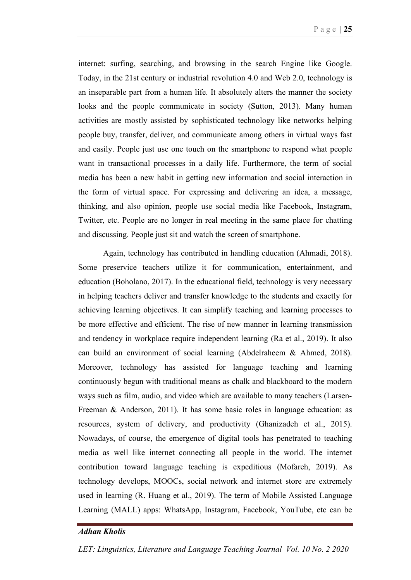P a g e | **25** 

internet: surfing, searching, and browsing in the search Engine like Google. Today, in the 21st century or industrial revolution 4.0 and Web 2.0, technology is an inseparable part from a human life. It absolutely alters the manner the society looks and the people communicate in society (Sutton, 2013). Many human activities are mostly assisted by sophisticated technology like networks helping people buy, transfer, deliver, and communicate among others in virtual ways fast and easily. People just use one touch on the smartphone to respond what people want in transactional processes in a daily life. Furthermore, the term of social media has been a new habit in getting new information and social interaction in the form of virtual space. For expressing and delivering an idea, a message, thinking, and also opinion, people use social media like Facebook, Instagram, Twitter, etc. People are no longer in real meeting in the same place for chatting and discussing. People just sit and watch the screen of smartphone.

Again, technology has contributed in handling education (Ahmadi, 2018). Some preservice teachers utilize it for communication, entertainment, and education (Boholano, 2017). In the educational field, technology is very necessary in helping teachers deliver and transfer knowledge to the students and exactly for achieving learning objectives. It can simplify teaching and learning processes to be more effective and efficient. The rise of new manner in learning transmission and tendency in workplace require independent learning (Ra et al., 2019). It also can build an environment of social learning (Abdelraheem & Ahmed, 2018). Moreover, technology has assisted for language teaching and learning continuously begun with traditional means as chalk and blackboard to the modern ways such as film, audio, and video which are available to many teachers (Larsen-Freeman & Anderson, 2011). It has some basic roles in language education: as resources, system of delivery, and productivity (Ghanizadeh et al., 2015). Nowadays, of course, the emergence of digital tools has penetrated to teaching media as well like internet connecting all people in the world. The internet contribution toward language teaching is expeditious (Mofareh, 2019). As technology develops, MOOCs, social network and internet store are extremely used in learning (R. Huang et al., 2019). The term of Mobile Assisted Language Learning (MALL) apps: WhatsApp, Instagram, Facebook, YouTube, etc can be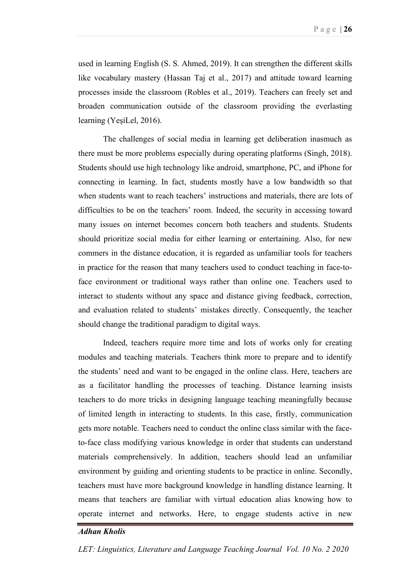used in learning English (S. S. Ahmed, 2019). It can strengthen the different skills like vocabulary mastery (Hassan Taj et al., 2017) and attitude toward learning processes inside the classroom (Robles et al., 2019). Teachers can freely set and broaden communication outside of the classroom providing the everlasting learning (YeşiLel, 2016).

The challenges of social media in learning get deliberation inasmuch as there must be more problems especially during operating platforms (Singh, 2018). Students should use high technology like android, smartphone, PC, and iPhone for connecting in learning. In fact, students mostly have a low bandwidth so that when students want to reach teachers' instructions and materials, there are lots of difficulties to be on the teachers' room. Indeed, the security in accessing toward many issues on internet becomes concern both teachers and students. Students should prioritize social media for either learning or entertaining. Also, for new commers in the distance education, it is regarded as unfamiliar tools for teachers in practice for the reason that many teachers used to conduct teaching in face-toface environment or traditional ways rather than online one. Teachers used to interact to students without any space and distance giving feedback, correction, and evaluation related to students' mistakes directly. Consequently, the teacher should change the traditional paradigm to digital ways.

Indeed, teachers require more time and lots of works only for creating modules and teaching materials. Teachers think more to prepare and to identify the students' need and want to be engaged in the online class. Here, teachers are as a facilitator handling the processes of teaching. Distance learning insists teachers to do more tricks in designing language teaching meaningfully because of limited length in interacting to students. In this case, firstly, communication gets more notable. Teachers need to conduct the online class similar with the faceto-face class modifying various knowledge in order that students can understand materials comprehensively. In addition, teachers should lead an unfamiliar environment by guiding and orienting students to be practice in online. Secondly, teachers must have more background knowledge in handling distance learning. It means that teachers are familiar with virtual education alias knowing how to operate internet and networks. Here, to engage students active in new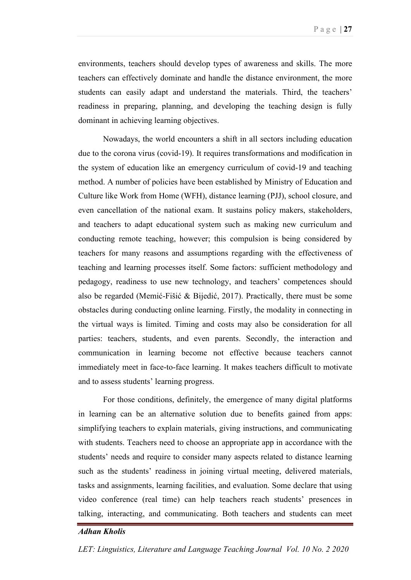environments, teachers should develop types of awareness and skills. The more teachers can effectively dominate and handle the distance environment, the more students can easily adapt and understand the materials. Third, the teachers' readiness in preparing, planning, and developing the teaching design is fully dominant in achieving learning objectives.

Nowadays, the world encounters a shift in all sectors including education due to the corona virus (covid-19). It requires transformations and modification in the system of education like an emergency curriculum of covid-19 and teaching method. A number of policies have been established by Ministry of Education and Culture like Work from Home (WFH), distance learning (PJJ), school closure, and even cancellation of the national exam. It sustains policy makers, stakeholders, and teachers to adapt educational system such as making new curriculum and conducting remote teaching, however; this compulsion is being considered by teachers for many reasons and assumptions regarding with the effectiveness of teaching and learning processes itself. Some factors: sufficient methodology and pedagogy, readiness to use new technology, and teachers' competences should also be regarded (Memić-Fišić & Bijedić, 2017). Practically, there must be some obstacles during conducting online learning. Firstly, the modality in connecting in the virtual ways is limited. Timing and costs may also be consideration for all parties: teachers, students, and even parents. Secondly, the interaction and communication in learning become not effective because teachers cannot immediately meet in face-to-face learning. It makes teachers difficult to motivate and to assess students' learning progress.

For those conditions, definitely, the emergence of many digital platforms in learning can be an alternative solution due to benefits gained from apps: simplifying teachers to explain materials, giving instructions, and communicating with students. Teachers need to choose an appropriate app in accordance with the students' needs and require to consider many aspects related to distance learning such as the students' readiness in joining virtual meeting, delivered materials, tasks and assignments, learning facilities, and evaluation. Some declare that using video conference (real time) can help teachers reach students' presences in talking, interacting, and communicating. Both teachers and students can meet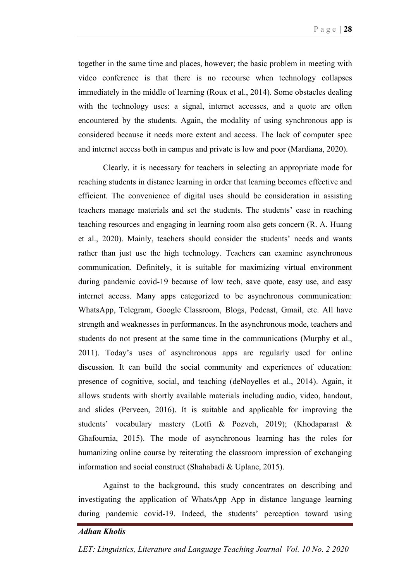together in the same time and places, however; the basic problem in meeting with video conference is that there is no recourse when technology collapses immediately in the middle of learning (Roux et al., 2014). Some obstacles dealing with the technology uses: a signal, internet accesses, and a quote are often encountered by the students. Again, the modality of using synchronous app is considered because it needs more extent and access. The lack of computer spec and internet access both in campus and private is low and poor (Mardiana, 2020).

Clearly, it is necessary for teachers in selecting an appropriate mode for reaching students in distance learning in order that learning becomes effective and efficient. The convenience of digital uses should be consideration in assisting teachers manage materials and set the students. The students' ease in reaching teaching resources and engaging in learning room also gets concern (R. A. Huang et al., 2020). Mainly, teachers should consider the students' needs and wants rather than just use the high technology. Teachers can examine asynchronous communication. Definitely, it is suitable for maximizing virtual environment during pandemic covid-19 because of low tech, save quote, easy use, and easy internet access. Many apps categorized to be asynchronous communication: WhatsApp, Telegram, Google Classroom, Blogs, Podcast, Gmail, etc. All have strength and weaknesses in performances. In the asynchronous mode, teachers and students do not present at the same time in the communications (Murphy et al., 2011). Today's uses of asynchronous apps are regularly used for online discussion. It can build the social community and experiences of education: presence of cognitive, social, and teaching (deNoyelles et al., 2014). Again, it allows students with shortly available materials including audio, video, handout, and slides (Perveen, 2016). It is suitable and applicable for improving the students' vocabulary mastery (Lotfi & Pozveh, 2019); (Khodaparast & Ghafournia, 2015). The mode of asynchronous learning has the roles for humanizing online course by reiterating the classroom impression of exchanging information and social construct (Shahabadi & Uplane, 2015).

Against to the background, this study concentrates on describing and investigating the application of WhatsApp App in distance language learning during pandemic covid-19. Indeed, the students' perception toward using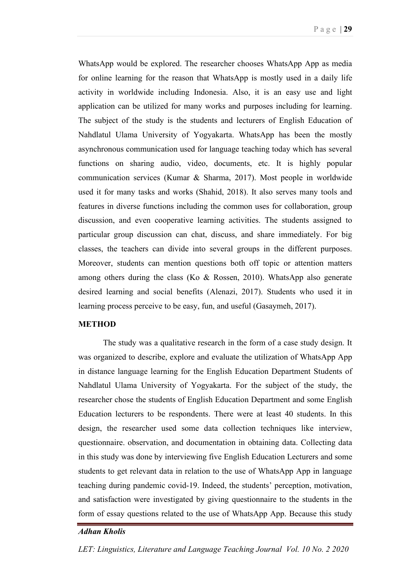WhatsApp would be explored. The researcher chooses WhatsApp App as media for online learning for the reason that WhatsApp is mostly used in a daily life activity in worldwide including Indonesia. Also, it is an easy use and light application can be utilized for many works and purposes including for learning. The subject of the study is the students and lecturers of English Education of Nahdlatul Ulama University of Yogyakarta. WhatsApp has been the mostly asynchronous communication used for language teaching today which has several functions on sharing audio, video, documents, etc. It is highly popular communication services (Kumar & Sharma, 2017). Most people in worldwide used it for many tasks and works (Shahid, 2018). It also serves many tools and features in diverse functions including the common uses for collaboration, group discussion, and even cooperative learning activities. The students assigned to particular group discussion can chat, discuss, and share immediately. For big classes, the teachers can divide into several groups in the different purposes. Moreover, students can mention questions both off topic or attention matters among others during the class (Ko & Rossen, 2010). WhatsApp also generate desired learning and social benefits (Alenazi, 2017). Students who used it in learning process perceive to be easy, fun, and useful (Gasaymeh, 2017).

### **METHOD**

The study was a qualitative research in the form of a case study design. It was organized to describe, explore and evaluate the utilization of WhatsApp App in distance language learning for the English Education Department Students of Nahdlatul Ulama University of Yogyakarta. For the subject of the study, the researcher chose the students of English Education Department and some English Education lecturers to be respondents. There were at least 40 students. In this design, the researcher used some data collection techniques like interview, questionnaire. observation, and documentation in obtaining data. Collecting data in this study was done by interviewing five English Education Lecturers and some students to get relevant data in relation to the use of WhatsApp App in language teaching during pandemic covid-19. Indeed, the students' perception, motivation, and satisfaction were investigated by giving questionnaire to the students in the form of essay questions related to the use of WhatsApp App. Because this study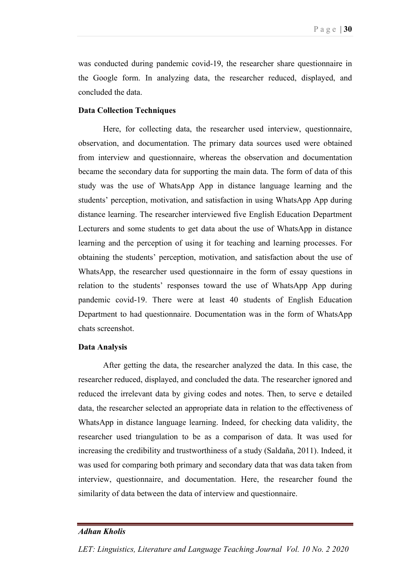was conducted during pandemic covid-19, the researcher share questionnaire in the Google form. In analyzing data, the researcher reduced, displayed, and concluded the data.

#### **Data Collection Techniques**

Here, for collecting data, the researcher used interview, questionnaire, observation, and documentation. The primary data sources used were obtained from interview and questionnaire, whereas the observation and documentation became the secondary data for supporting the main data. The form of data of this study was the use of WhatsApp App in distance language learning and the students' perception, motivation, and satisfaction in using WhatsApp App during distance learning. The researcher interviewed five English Education Department Lecturers and some students to get data about the use of WhatsApp in distance learning and the perception of using it for teaching and learning processes. For obtaining the students' perception, motivation, and satisfaction about the use of WhatsApp, the researcher used questionnaire in the form of essay questions in relation to the students' responses toward the use of WhatsApp App during pandemic covid-19. There were at least 40 students of English Education Department to had questionnaire. Documentation was in the form of WhatsApp chats screenshot.

#### **Data Analysis**

After getting the data, the researcher analyzed the data. In this case, the researcher reduced, displayed, and concluded the data. The researcher ignored and reduced the irrelevant data by giving codes and notes. Then, to serve e detailed data, the researcher selected an appropriate data in relation to the effectiveness of WhatsApp in distance language learning. Indeed, for checking data validity, the researcher used triangulation to be as a comparison of data. It was used for increasing the credibility and trustworthiness of a study (Saldaña, 2011). Indeed, it was used for comparing both primary and secondary data that was data taken from interview, questionnaire, and documentation. Here, the researcher found the similarity of data between the data of interview and questionnaire.

### *Adhan Kholis*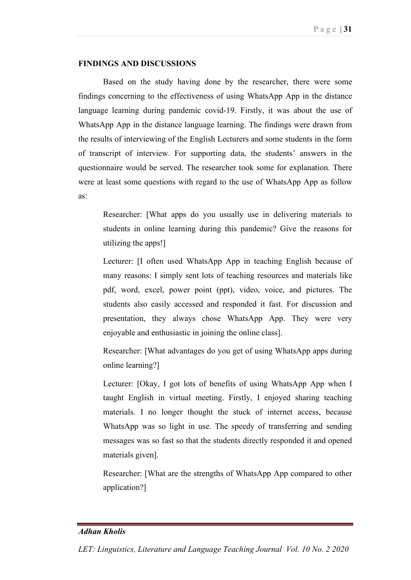### **FINDINGS AND DISCUSSIONS**

Based on the study having done by the researcher, there were some findings concerning to the effectiveness of using WhatsApp App in the distance language learning during pandemic covid-19. Firstly, it was about the use of WhatsApp App in the distance language learning. The findings were drawn from the results of interviewing of the English Lecturers and some students in the form of transcript of interview. For supporting data, the students' answers in the questionnaire would be served. The researcher took some for explanation. There were at least some questions with regard to the use of WhatsApp App as follow as:

Researcher: [What apps do you usually use in delivering materials to students in online learning during this pandemic? Give the reasons for utilizing the apps!]

Lecturer: [I often used WhatsApp App in teaching English because of many reasons: I simply sent lots of teaching resources and materials like pdf, word, excel, power point (ppt), video, voice, and pictures. The students also easily accessed and responded it fast. For discussion and presentation, they always chose WhatsApp App. They were very enjoyable and enthusiastic in joining the online class].

Researcher: [What advantages do you get of using WhatsApp apps during online learning?]

Lecturer: [Okay, I got lots of benefits of using WhatsApp App when I taught English in virtual meeting. Firstly, I enjoyed sharing teaching materials. I no longer thought the stuck of internet access, because WhatsApp was so light in use. The speedy of transferring and sending messages was so fast so that the students directly responded it and opened materials given].

Researcher: [What are the strengths of WhatsApp App compared to other application?]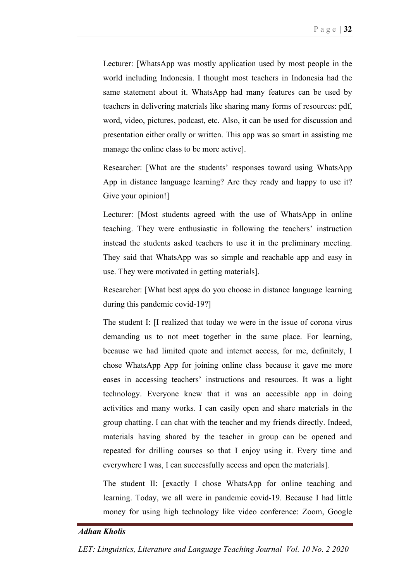Lecturer: [WhatsApp was mostly application used by most people in the world including Indonesia. I thought most teachers in Indonesia had the same statement about it. WhatsApp had many features can be used by teachers in delivering materials like sharing many forms of resources: pdf, word, video, pictures, podcast, etc. Also, it can be used for discussion and presentation either orally or written. This app was so smart in assisting me manage the online class to be more active].

Researcher: [What are the students' responses toward using WhatsApp App in distance language learning? Are they ready and happy to use it? Give your opinion!]

Lecturer: [Most students agreed with the use of WhatsApp in online teaching. They were enthusiastic in following the teachers' instruction instead the students asked teachers to use it in the preliminary meeting. They said that WhatsApp was so simple and reachable app and easy in use. They were motivated in getting materials].

Researcher: [What best apps do you choose in distance language learning during this pandemic covid-19?]

The student I: [I realized that today we were in the issue of corona virus demanding us to not meet together in the same place. For learning, because we had limited quote and internet access, for me, definitely, I chose WhatsApp App for joining online class because it gave me more eases in accessing teachers' instructions and resources. It was a light technology. Everyone knew that it was an accessible app in doing activities and many works. I can easily open and share materials in the group chatting. I can chat with the teacher and my friends directly. Indeed, materials having shared by the teacher in group can be opened and repeated for drilling courses so that I enjoy using it. Every time and everywhere I was, I can successfully access and open the materials].

The student II: [exactly I chose WhatsApp for online teaching and learning. Today, we all were in pandemic covid-19. Because I had little money for using high technology like video conference: Zoom, Google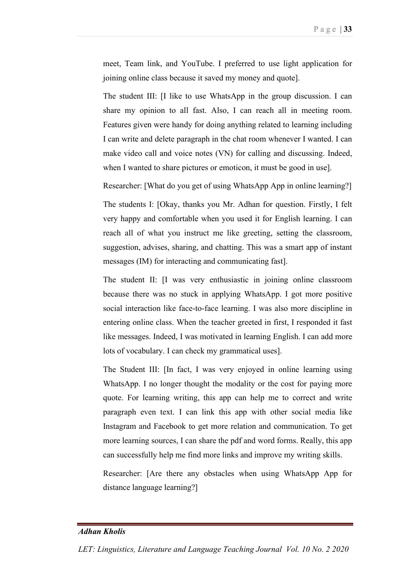meet, Team link, and YouTube. I preferred to use light application for joining online class because it saved my money and quote].

The student III: [I like to use WhatsApp in the group discussion. I can share my opinion to all fast. Also, I can reach all in meeting room. Features given were handy for doing anything related to learning including I can write and delete paragraph in the chat room whenever I wanted. I can make video call and voice notes (VN) for calling and discussing. Indeed, when I wanted to share pictures or emoticon, it must be good in use].

Researcher: [What do you get of using WhatsApp App in online learning?]

The students I: [Okay, thanks you Mr. Adhan for question. Firstly, I felt very happy and comfortable when you used it for English learning. I can reach all of what you instruct me like greeting, setting the classroom, suggestion, advises, sharing, and chatting. This was a smart app of instant messages (IM) for interacting and communicating fast].

The student II: [I was very enthusiastic in joining online classroom because there was no stuck in applying WhatsApp. I got more positive social interaction like face-to-face learning. I was also more discipline in entering online class. When the teacher greeted in first, I responded it fast like messages. Indeed, I was motivated in learning English. I can add more lots of vocabulary. I can check my grammatical uses].

The Student III: [In fact, I was very enjoyed in online learning using WhatsApp. I no longer thought the modality or the cost for paying more quote. For learning writing, this app can help me to correct and write paragraph even text. I can link this app with other social media like Instagram and Facebook to get more relation and communication. To get more learning sources, I can share the pdf and word forms. Really, this app can successfully help me find more links and improve my writing skills.

Researcher: [Are there any obstacles when using WhatsApp App for distance language learning?]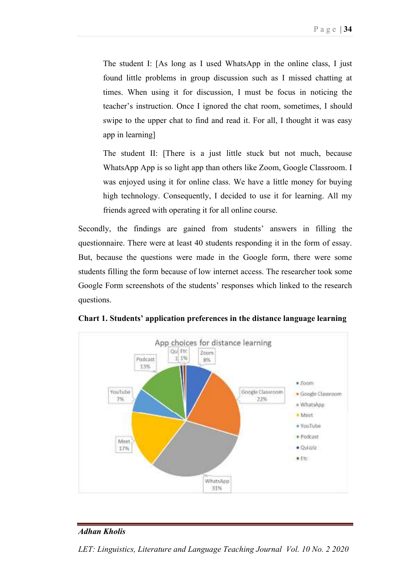The student I: [As long as I used WhatsApp in the online class, I just found little problems in group discussion such as I missed chatting at times. When using it for discussion, I must be focus in noticing the teacher's instruction. Once I ignored the chat room, sometimes, I should swipe to the upper chat to find and read it. For all, I thought it was easy app in learning]

The student II: [There is a just little stuck but not much, because WhatsApp App is so light app than others like Zoom, Google Classroom. I was enjoyed using it for online class. We have a little money for buying high technology. Consequently, I decided to use it for learning. All my friends agreed with operating it for all online course.

Secondly, the findings are gained from students' answers in filling the questionnaire. There were at least 40 students responding it in the form of essay. But, because the questions were made in the Google form, there were some students filling the form because of low internet access. The researcher took some Google Form screenshots of the students' responses which linked to the research questions.



**Chart 1. Students' application preferences in the distance language learning** 

### *Adhan Kholis*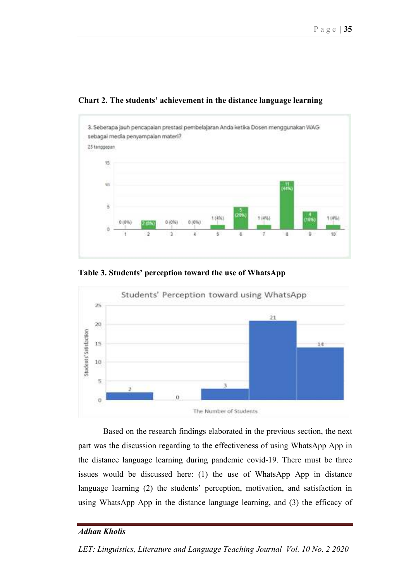

**Chart 2. The students' achievement in the distance language learning** 





Based on the research findings elaborated in the previous section, the next part was the discussion regarding to the effectiveness of using WhatsApp App in the distance language learning during pandemic covid-19. There must be three issues would be discussed here: (1) the use of WhatsApp App in distance language learning (2) the students' perception, motivation, and satisfaction in using WhatsApp App in the distance language learning, and (3) the efficacy of

# *Adhan Kholis*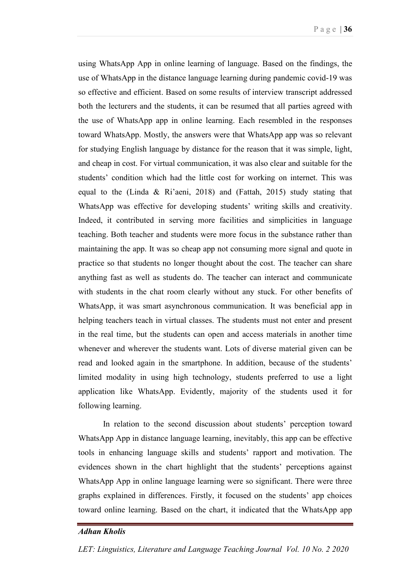using WhatsApp App in online learning of language. Based on the findings, the use of WhatsApp in the distance language learning during pandemic covid-19 was so effective and efficient. Based on some results of interview transcript addressed both the lecturers and the students, it can be resumed that all parties agreed with the use of WhatsApp app in online learning. Each resembled in the responses toward WhatsApp. Mostly, the answers were that WhatsApp app was so relevant for studying English language by distance for the reason that it was simple, light, and cheap in cost. For virtual communication, it was also clear and suitable for the students' condition which had the little cost for working on internet. This was equal to the (Linda & Ri'aeni, 2018) and (Fattah, 2015) study stating that WhatsApp was effective for developing students' writing skills and creativity. Indeed, it contributed in serving more facilities and simplicities in language teaching. Both teacher and students were more focus in the substance rather than maintaining the app. It was so cheap app not consuming more signal and quote in practice so that students no longer thought about the cost. The teacher can share anything fast as well as students do. The teacher can interact and communicate with students in the chat room clearly without any stuck. For other benefits of WhatsApp, it was smart asynchronous communication. It was beneficial app in helping teachers teach in virtual classes. The students must not enter and present in the real time, but the students can open and access materials in another time whenever and wherever the students want. Lots of diverse material given can be read and looked again in the smartphone. In addition, because of the students' limited modality in using high technology, students preferred to use a light application like WhatsApp. Evidently, majority of the students used it for following learning.

In relation to the second discussion about students' perception toward WhatsApp App in distance language learning, inevitably, this app can be effective tools in enhancing language skills and students' rapport and motivation. The evidences shown in the chart highlight that the students' perceptions against WhatsApp App in online language learning were so significant. There were three graphs explained in differences. Firstly, it focused on the students' app choices toward online learning. Based on the chart, it indicated that the WhatsApp app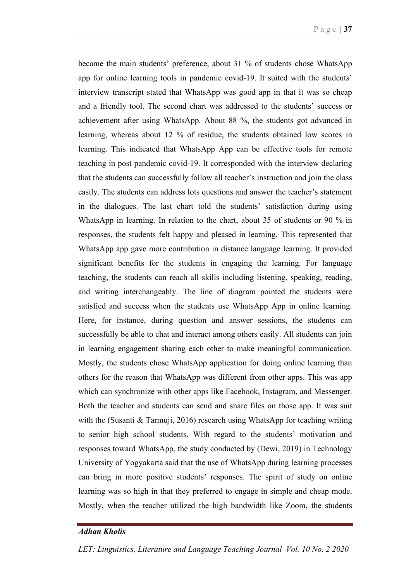became the main students' preference, about 31 % of students chose WhatsApp app for online learning tools in pandemic covid-19. It suited with the students' interview transcript stated that WhatsApp was good app in that it was so cheap and a friendly tool. The second chart was addressed to the students' success or achievement after using WhatsApp. About 88 %, the students got advanced in learning, whereas about 12 % of residue, the students obtained low scores in learning. This indicated that WhatsApp App can be effective tools for remote teaching in post pandemic covid-19. It corresponded with the interview declaring that the students can successfully follow all teacher's instruction and join the class easily. The students can address lots questions and answer the teacher's statement in the dialogues. The last chart told the students' satisfaction during using WhatsApp in learning. In relation to the chart, about 35 of students or 90 % in responses, the students felt happy and pleased in learning. This represented that WhatsApp app gave more contribution in distance language learning. It provided significant benefits for the students in engaging the learning. For language teaching, the students can reach all skills including listening, speaking, reading, and writing interchangeably. The line of diagram pointed the students were satisfied and success when the students use WhatsApp App in online learning. Here, for instance, during question and answer sessions, the students can successfully be able to chat and interact among others easily. All students can join in learning engagement sharing each other to make meaningful communication. Mostly, the students chose WhatsApp application for doing online learning than others for the reason that WhatsApp was different from other apps. This was app which can synchronize with other apps like Facebook, Instagram, and Messenger. Both the teacher and students can send and share files on those app. It was suit with the (Susanti & Tarmuji, 2016) research using WhatsApp for teaching writing to senior high school students. With regard to the students' motivation and responses toward WhatsApp, the study conducted by (Dewi, 2019) in Technology University of Yogyakarta said that the use of WhatsApp during learning processes can bring in more positive students' responses. The spirit of study on online learning was so high in that they preferred to engage in simple and cheap mode. Mostly, when the teacher utilized the high bandwidth like Zoom, the students

# *Adhan Kholis*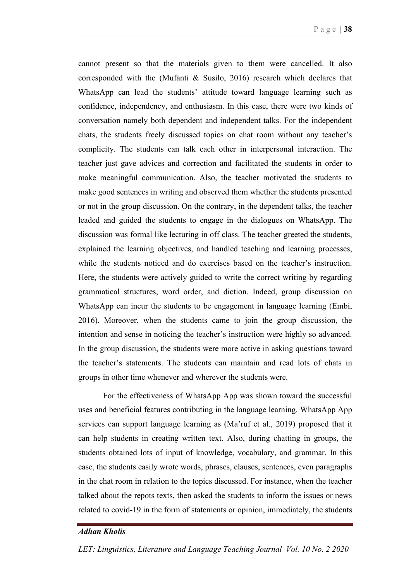cannot present so that the materials given to them were cancelled. It also corresponded with the (Mufanti & Susilo, 2016) research which declares that WhatsApp can lead the students' attitude toward language learning such as confidence, independency, and enthusiasm. In this case, there were two kinds of conversation namely both dependent and independent talks. For the independent chats, the students freely discussed topics on chat room without any teacher's complicity. The students can talk each other in interpersonal interaction. The teacher just gave advices and correction and facilitated the students in order to make meaningful communication. Also, the teacher motivated the students to make good sentences in writing and observed them whether the students presented or not in the group discussion. On the contrary, in the dependent talks, the teacher leaded and guided the students to engage in the dialogues on WhatsApp. The discussion was formal like lecturing in off class. The teacher greeted the students, explained the learning objectives, and handled teaching and learning processes, while the students noticed and do exercises based on the teacher's instruction. Here, the students were actively guided to write the correct writing by regarding grammatical structures, word order, and diction. Indeed, group discussion on WhatsApp can incur the students to be engagement in language learning (Embi, 2016). Moreover, when the students came to join the group discussion, the intention and sense in noticing the teacher's instruction were highly so advanced. In the group discussion, the students were more active in asking questions toward the teacher's statements. The students can maintain and read lots of chats in groups in other time whenever and wherever the students were.

For the effectiveness of WhatsApp App was shown toward the successful uses and beneficial features contributing in the language learning. WhatsApp App services can support language learning as (Ma'ruf et al., 2019) proposed that it can help students in creating written text. Also, during chatting in groups, the students obtained lots of input of knowledge, vocabulary, and grammar. In this case, the students easily wrote words, phrases, clauses, sentences, even paragraphs in the chat room in relation to the topics discussed. For instance, when the teacher talked about the repots texts, then asked the students to inform the issues or news related to covid-19 in the form of statements or opinion, immediately, the students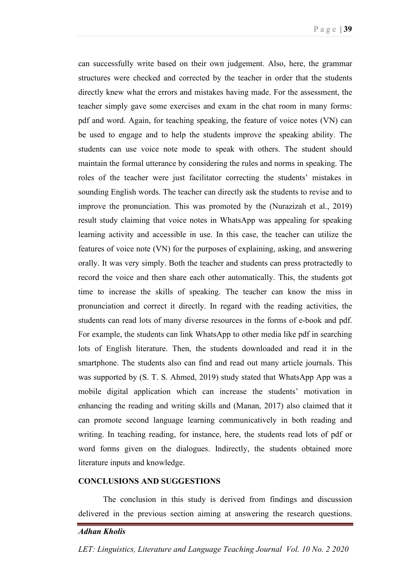can successfully write based on their own judgement. Also, here, the grammar structures were checked and corrected by the teacher in order that the students directly knew what the errors and mistakes having made. For the assessment, the teacher simply gave some exercises and exam in the chat room in many forms: pdf and word. Again, for teaching speaking, the feature of voice notes (VN) can be used to engage and to help the students improve the speaking ability. The students can use voice note mode to speak with others. The student should maintain the formal utterance by considering the rules and norms in speaking. The roles of the teacher were just facilitator correcting the students' mistakes in sounding English words. The teacher can directly ask the students to revise and to improve the pronunciation. This was promoted by the (Nurazizah et al., 2019) result study claiming that voice notes in WhatsApp was appealing for speaking learning activity and accessible in use. In this case, the teacher can utilize the features of voice note (VN) for the purposes of explaining, asking, and answering orally. It was very simply. Both the teacher and students can press protractedly to record the voice and then share each other automatically. This, the students got time to increase the skills of speaking. The teacher can know the miss in pronunciation and correct it directly. In regard with the reading activities, the students can read lots of many diverse resources in the forms of e-book and pdf. For example, the students can link WhatsApp to other media like pdf in searching lots of English literature. Then, the students downloaded and read it in the smartphone. The students also can find and read out many article journals. This was supported by (S. T. S. Ahmed, 2019) study stated that WhatsApp App was a mobile digital application which can increase the students' motivation in enhancing the reading and writing skills and (Manan, 2017) also claimed that it can promote second language learning communicatively in both reading and writing. In teaching reading, for instance, here, the students read lots of pdf or word forms given on the dialogues. Indirectly, the students obtained more literature inputs and knowledge.

# **CONCLUSIONS AND SUGGESTIONS**

The conclusion in this study is derived from findings and discussion delivered in the previous section aiming at answering the research questions.

#### *Adhan Kholis*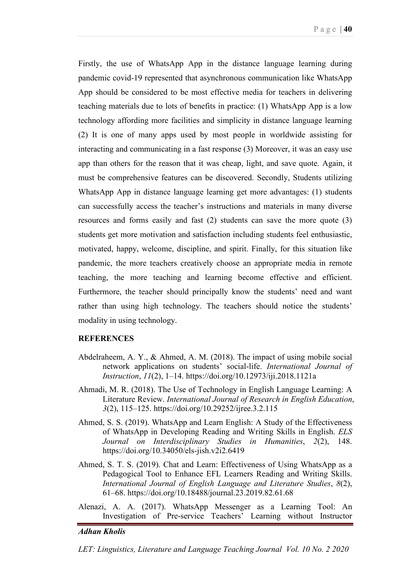Firstly, the use of WhatsApp App in the distance language learning during pandemic covid-19 represented that asynchronous communication like WhatsApp App should be considered to be most effective media for teachers in delivering teaching materials due to lots of benefits in practice: (1) WhatsApp App is a low technology affording more facilities and simplicity in distance language learning (2) It is one of many apps used by most people in worldwide assisting for interacting and communicating in a fast response (3) Moreover, it was an easy use app than others for the reason that it was cheap, light, and save quote. Again, it must be comprehensive features can be discovered. Secondly, Students utilizing WhatsApp App in distance language learning get more advantages: (1) students can successfully access the teacher's instructions and materials in many diverse resources and forms easily and fast (2) students can save the more quote (3) students get more motivation and satisfaction including students feel enthusiastic, motivated, happy, welcome, discipline, and spirit. Finally, for this situation like pandemic, the more teachers creatively choose an appropriate media in remote teaching, the more teaching and learning become effective and efficient. Furthermore, the teacher should principally know the students' need and want rather than using high technology. The teachers should notice the students' modality in using technology.

#### **REFERENCES**

- Abdelraheem, A. Y., & Ahmed, A. M. (2018). The impact of using mobile social network applications on students' social-life. *International Journal of Instruction*, *11*(2), 1–14. https://doi.org/10.12973/iji.2018.1121a
- Ahmadi, M. R. (2018). The Use of Technology in English Language Learning: A Literature Review. *International Journal of Research in English Education*, *3*(2), 115–125. https://doi.org/10.29252/ijree.3.2.115
- Ahmed, S. S. (2019). WhatsApp and Learn English: A Study of the Effectiveness of WhatsApp in Developing Reading and Writing Skills in English. *ELS Journal on Interdisciplinary Studies in Humanities*, *2*(2), 148. https://doi.org/10.34050/els-jish.v2i2.6419
- Ahmed, S. T. S. (2019). Chat and Learn: Effectiveness of Using WhatsApp as a Pedagogical Tool to Enhance EFL Learners Reading and Writing Skills. *International Journal of English Language and Literature Studies*, *8*(2), 61–68. https://doi.org/10.18488/journal.23.2019.82.61.68
- Alenazi, A. A. (2017). WhatsApp Messenger as a Learning Tool: An Investigation of Pre-service Teachers' Learning without Instructor

#### *Adhan Kholis*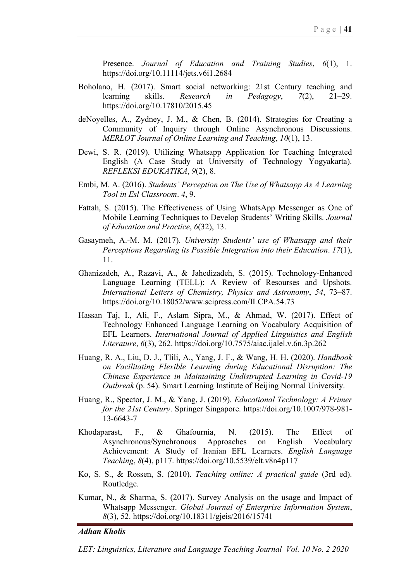Presence. *Journal of Education and Training Studies*, *6*(1), 1. https://doi.org/10.11114/jets.v6i1.2684

- Boholano, H. (2017). Smart social networking: 21st Century teaching and learning skills. *Research in Pedagogy*, *7*(2), 21–29. https://doi.org/10.17810/2015.45
- deNoyelles, A., Zydney, J. M., & Chen, B. (2014). Strategies for Creating a Community of Inquiry through Online Asynchronous Discussions. *MERLOT Journal of Online Learning and Teaching*, *10*(1), 13.
- Dewi, S. R. (2019). Utilizing Whatsapp Application for Teaching Integrated English (A Case Study at University of Technology Yogyakarta). *REFLEKSI EDUKATIKA*, *9*(2), 8.
- Embi, M. A. (2016). *Students' Perception on The Use of Whatsapp As A Learning Tool in Esl Classroom*. *4*, 9.
- Fattah, S. (2015). The Effectiveness of Using WhatsApp Messenger as One of Mobile Learning Techniques to Develop Students' Writing Skills. *Journal of Education and Practice*, *6*(32), 13.
- Gasaymeh, A.-M. M. (2017). *University Students' use of Whatsapp and their Perceptions Regarding its Possible Integration into their Education*. *17*(1), 11.
- Ghanizadeh, A., Razavi, A., & Jahedizadeh, S. (2015). Technology-Enhanced Language Learning (TELL): A Review of Resourses and Upshots. *International Letters of Chemistry, Physics and Astronomy*, *54*, 73–87. https://doi.org/10.18052/www.scipress.com/ILCPA.54.73
- Hassan Taj, I., Ali, F., Aslam Sipra, M., & Ahmad, W. (2017). Effect of Technology Enhanced Language Learning on Vocabulary Acquisition of EFL Learners. *International Journal of Applied Linguistics and English Literature*, *6*(3), 262. https://doi.org/10.7575/aiac.ijalel.v.6n.3p.262
- Huang, R. A., Liu, D. J., Tlili, A., Yang, J. F., & Wang, H. H. (2020). *Handbook on Facilitating Flexible Learning during Educational Disruption: The Chinese Experience in Maintaining Undistrupted Learning in Covid-19 Outbreak* (p. 54). Smart Learning Institute of Beijing Normal University.
- Huang, R., Spector, J. M., & Yang, J. (2019). *Educational Technology: A Primer for the 21st Century*. Springer Singapore. https://doi.org/10.1007/978-981- 13-6643-7
- Khodaparast, F., & Ghafournia, N. (2015). The Effect of Asynchronous/Synchronous Approaches on English Vocabulary Achievement: A Study of Iranian EFL Learners. *English Language Teaching*, *8*(4), p117. https://doi.org/10.5539/elt.v8n4p117
- Ko, S. S., & Rossen, S. (2010). *Teaching online: A practical guide* (3rd ed). Routledge.
- Kumar, N., & Sharma, S. (2017). Survey Analysis on the usage and Impact of Whatsapp Messenger. *Global Journal of Enterprise Information System*, *8*(3), 52. https://doi.org/10.18311/gjeis/2016/15741

#### *Adhan Kholis*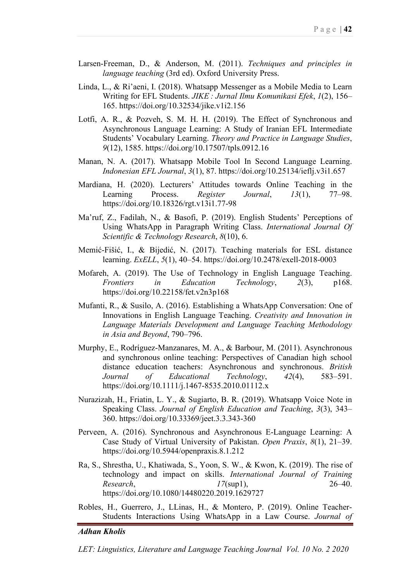- Larsen-Freeman, D., & Anderson, M. (2011). *Techniques and principles in language teaching* (3rd ed). Oxford University Press.
- Linda, L., & Ri'aeni, I. (2018). Whatsapp Messenger as a Mobile Media to Learn Writing for EFL Students. *JIKE : Jurnal Ilmu Komunikasi Efek*, *1*(2), 156– 165. https://doi.org/10.32534/jike.v1i2.156
- Lotfi, A. R., & Pozveh, S. M. H. H. (2019). The Effect of Synchronous and Asynchronous Language Learning: A Study of Iranian EFL Intermediate Students' Vocabulary Learning. *Theory and Practice in Language Studies*, *9*(12), 1585. https://doi.org/10.17507/tpls.0912.16
- Manan, N. A. (2017). Whatsapp Mobile Tool In Second Language Learning. *Indonesian EFL Journal*, *3*(1), 87. https://doi.org/10.25134/ieflj.v3i1.657
- Mardiana, H. (2020). Lecturers' Attitudes towards Online Teaching in the Learning Process. *Register Journal*, *13*(1), 77–98. https://doi.org/10.18326/rgt.v13i1.77-98
- Ma'ruf, Z., Fadilah, N., & Basofi, P. (2019). English Students' Perceptions of Using WhatsApp in Paragraph Writing Class. *International Journal Of Scientific & Technology Research*, *8*(10), 6.
- Memić-Fišić, I., & Bijedić, N. (2017). Teaching materials for ESL distance learning. *ExELL*, *5*(1), 40–54. https://doi.org/10.2478/exell-2018-0003
- Mofareh, A. (2019). The Use of Technology in English Language Teaching. *Frontiers in Education Technology*, *2*(3), p168. https://doi.org/10.22158/fet.v2n3p168
- Mufanti, R., & Susilo, A. (2016). Establishing a WhatsApp Conversation: One of Innovations in English Language Teaching. *Creativity and Innovation in Language Materials Development and Language Teaching Methodology in Asia and Beyond*, 790–796.
- Murphy, E., Rodríguez-Manzanares, M. A., & Barbour, M. (2011). Asynchronous and synchronous online teaching: Perspectives of Canadian high school distance education teachers: Asynchronous and synchronous. *British Journal of Educational Technology*, *42*(4), 583–591. https://doi.org/10.1111/j.1467-8535.2010.01112.x
- Nurazizah, H., Friatin, L. Y., & Sugiarto, B. R. (2019). Whatsapp Voice Note in Speaking Class. *Journal of English Education and Teaching*, *3*(3), 343– 360. https://doi.org/10.33369/jeet.3.3.343-360
- Perveen, A. (2016). Synchronous and Asynchronous E-Language Learning: A Case Study of Virtual University of Pakistan. *Open Praxis*, *8*(1), 21–39. https://doi.org/10.5944/openpraxis.8.1.212
- Ra, S., Shrestha, U., Khatiwada, S., Yoon, S. W., & Kwon, K. (2019). The rise of technology and impact on skills. *International Journal of Training Research*, *17*(sup1), 26–40. https://doi.org/10.1080/14480220.2019.1629727
- Robles, H., Guerrero, J., LLinas, H., & Montero, P. (2019). Online Teacher-Students Interactions Using WhatsApp in a Law Course. *Journal of*

#### *Adhan Kholis*